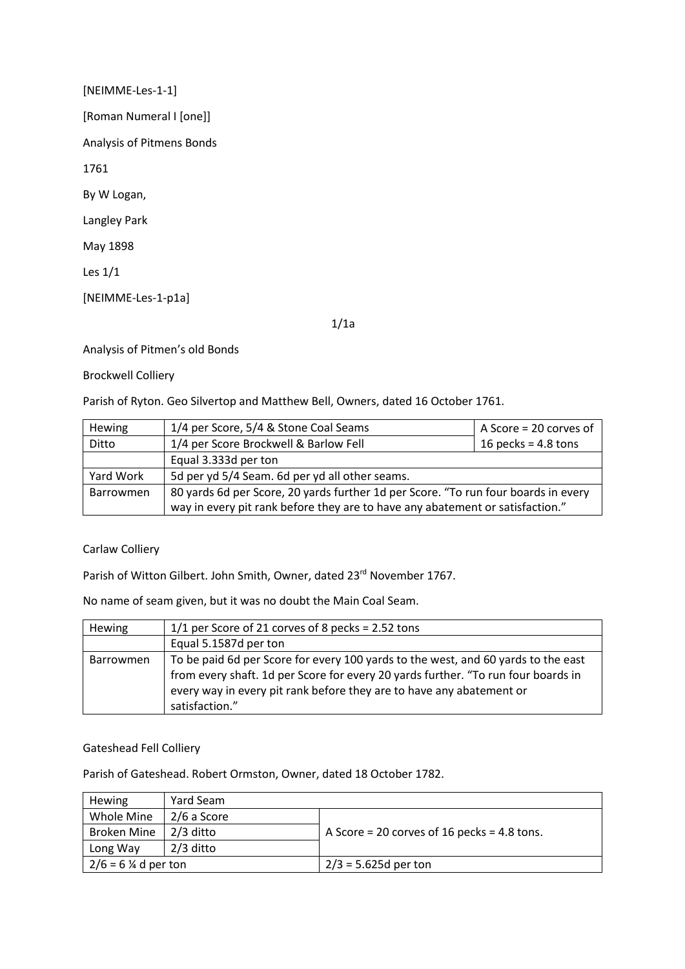[NEIMME-Les-1-1] [Roman Numeral I [one]] Analysis of Pitmens Bonds 1761 By W Logan, Langley Park May 1898 Les 1/1 [NEIMME-Les-1-p1a]

1/1a

Analysis of Pitmen's old Bonds

Brockwell Colliery

Parish of Ryton. Geo Silvertop and Matthew Bell, Owners, dated 16 October 1761.

| <b>Hewing</b> | 1/4 per Score, 5/4 & Stone Coal Seams                                              | A Score = 20 corves of |  |  |
|---------------|------------------------------------------------------------------------------------|------------------------|--|--|
| Ditto         | 1/4 per Score Brockwell & Barlow Fell                                              | 16 pecks = $4.8$ tons  |  |  |
|               | Equal 3.333d per ton                                                               |                        |  |  |
| Yard Work     | 5d per yd 5/4 Seam. 6d per yd all other seams.                                     |                        |  |  |
| Barrowmen     | 80 yards 6d per Score, 20 yards further 1d per Score. "To run four boards in every |                        |  |  |
|               | way in every pit rank before they are to have any abatement or satisfaction."      |                        |  |  |

## Carlaw Colliery

Parish of Witton Gilbert. John Smith, Owner, dated 23<sup>rd</sup> November 1767.

No name of seam given, but it was no doubt the Main Coal Seam.

| <b>Hewing</b>    | $1/1$ per Score of 21 corves of 8 pecks = 2.52 tons                                                                                                                                                                                                              |
|------------------|------------------------------------------------------------------------------------------------------------------------------------------------------------------------------------------------------------------------------------------------------------------|
|                  | Equal 5.1587d per ton                                                                                                                                                                                                                                            |
| <b>Barrowmen</b> | To be paid 6d per Score for every 100 yards to the west, and 60 yards to the east<br>from every shaft. 1d per Score for every 20 yards further. "To run four boards in<br>every way in every pit rank before they are to have any abatement or<br>satisfaction." |

## Gateshead Fell Colliery

Parish of Gateshead. Robert Ormston, Owner, dated 18 October 1782.

| <b>Hewing</b>         | Yard Seam   |                                             |
|-----------------------|-------------|---------------------------------------------|
| Whole Mine            | 2/6 a Score |                                             |
| <b>Broken Mine</b>    | $2/3$ ditto | A Score = 20 corves of 16 pecks = 4.8 tons. |
| Long Way              | $2/3$ ditto |                                             |
| $2/6 = 6$ % d per ton |             | $2/3 = 5.625d$ per ton                      |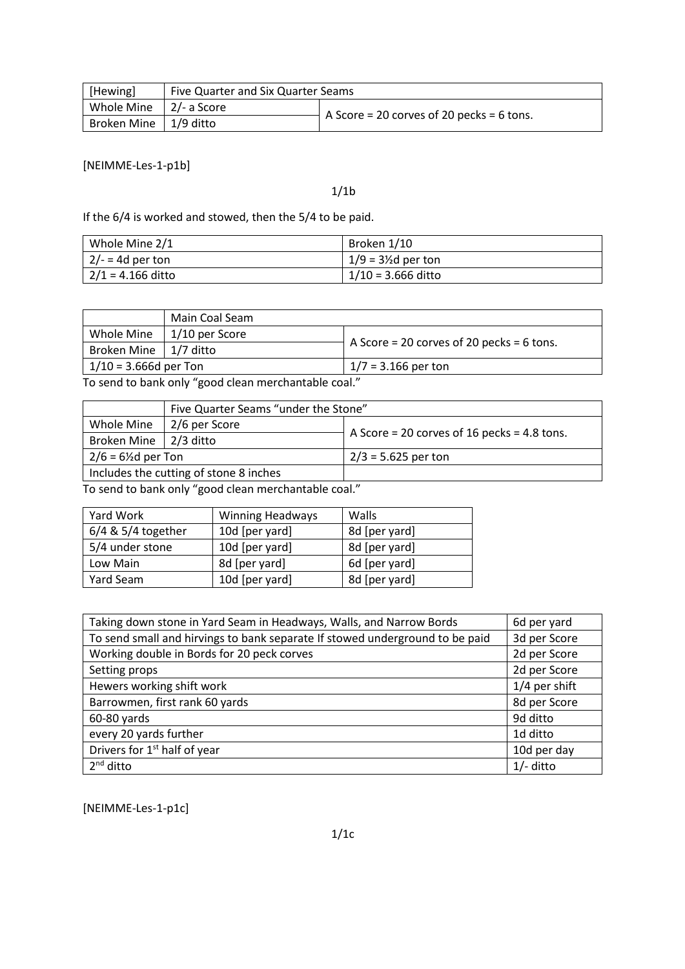| [Hewing]                       | Five Quarter and Six Quarter Seams |                                               |  |  |
|--------------------------------|------------------------------------|-----------------------------------------------|--|--|
| Whole Mine $\vert$ 2/- a Score |                                    |                                               |  |  |
| Broken Mine   1/9 ditto        |                                    | $-$ A Score = 20 corves of 20 pecks = 6 tons. |  |  |

[NEIMME-Les-1-p1b]

1/1b

If the 6/4 is worked and stowed, then the 5/4 to be paid.

| Whole Mine 2/1      | Broken 1/10                    |
|---------------------|--------------------------------|
| $2/- = 4d$ per ton  | $1/9 = 3\frac{1}{2}$ d per ton |
| $2/1 = 4.166$ ditto | $1/10 = 3.666$ ditto           |

|                           | Main Coal Seam                          |                                             |  |
|---------------------------|-----------------------------------------|---------------------------------------------|--|
| Whole Mine                | $\vert$ 1/10 per Score                  |                                             |  |
| Broken Mine   $1/7$ ditto |                                         | $A$ Score = 20 corves of 20 pecks = 6 tons. |  |
| $1/10 = 3.666d$ per Ton   |                                         | $1/7 = 3.166$ per ton                       |  |
|                           | — 1.1 I <i>II</i> III I III I <i>II</i> |                                             |  |

To send to bank only "good clean merchantable coal."

|                                        | Five Quarter Seams "under the Stone" |                                             |  |  |  |
|----------------------------------------|--------------------------------------|---------------------------------------------|--|--|--|
| Whole Mine                             | 2/6 per Score                        |                                             |  |  |  |
| Broken Mine   2/3 ditto                |                                      | A Score = 20 corves of 16 pecks = 4.8 tons. |  |  |  |
| $2/6 = 6\frac{1}{2}$ d per Ton         |                                      | $2/3 = 5.625$ per ton                       |  |  |  |
| Includes the cutting of stone 8 inches |                                      |                                             |  |  |  |

To send to bank only "good clean merchantable coal."

| Yard Work          | <b>Winning Headways</b> | Walls         |  |
|--------------------|-------------------------|---------------|--|
| 6/4 & 5/4 together | 10d [per yard]          | 8d [per yard] |  |
| 5/4 under stone    | 10d [per yard]          | 8d [per yard] |  |
| Low Main           | 8d [per yard]           | 6d [per yard] |  |
| Yard Seam          | 10d [per yard]          | 8d [per yard] |  |

| Taking down stone in Yard Seam in Headways, Walls, and Narrow Bords          | 6d per yard   |
|------------------------------------------------------------------------------|---------------|
| To send small and hirvings to bank separate If stowed underground to be paid | 3d per Score  |
| Working double in Bords for 20 peck corves                                   | 2d per Score  |
| Setting props                                                                | 2d per Score  |
| Hewers working shift work                                                    | 1/4 per shift |
| Barrowmen, first rank 60 yards                                               | 8d per Score  |
| 60-80 yards                                                                  | 9d ditto      |
| every 20 yards further                                                       | 1d ditto      |
| Drivers for 1 <sup>st</sup> half of year                                     | 10d per day   |
| 2 <sup>nd</sup> ditto                                                        | $1/-$ ditto   |

[NEIMME-Les-1-p1c]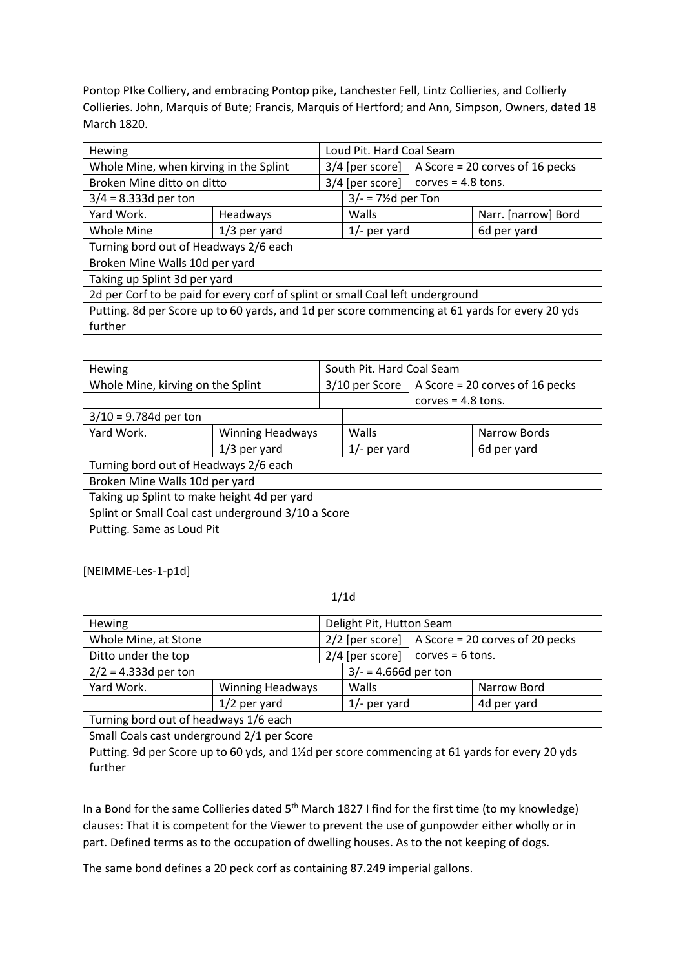Pontop PIke Colliery, and embracing Pontop pike, Lanchester Fell, Lintz Collieries, and Collierly Collieries. John, Marquis of Bute; Francis, Marquis of Hertford; and Ann, Simpson, Owners, dated 18 March 1820.

| <b>Hewing</b>                                                                                  |                |                                                     | Loud Pit. Hard Coal Seam                    |  |                     |
|------------------------------------------------------------------------------------------------|----------------|-----------------------------------------------------|---------------------------------------------|--|---------------------|
| Whole Mine, when kirving in the Splint                                                         |                | $3/4$ [per score]   A Score = 20 corves of 16 pecks |                                             |  |                     |
| Broken Mine ditto on ditto                                                                     |                |                                                     | $3/4$ [per score]  <br>corves = $4.8$ tons. |  |                     |
| $3/4 = 8.333d$ per ton                                                                         |                |                                                     | $3/- = 7\frac{1}{2}$ d per Ton              |  |                     |
| Yard Work.                                                                                     | Headways       |                                                     | Walls                                       |  | Narr. [narrow] Bord |
| Whole Mine                                                                                     | $1/3$ per yard | $1/-$ per yard                                      |                                             |  | 6d per yard         |
| Turning bord out of Headways 2/6 each                                                          |                |                                                     |                                             |  |                     |
| Broken Mine Walls 10d per yard                                                                 |                |                                                     |                                             |  |                     |
| Taking up Splint 3d per yard                                                                   |                |                                                     |                                             |  |                     |
| 2d per Corf to be paid for every corf of splint or small Coal left underground                 |                |                                                     |                                             |  |                     |
| Putting. 8d per Score up to 60 yards, and 1d per score commencing at 61 yards for every 20 yds |                |                                                     |                                             |  |                     |
| further                                                                                        |                |                                                     |                                             |  |                     |

| <b>Hewing</b>                                      |                         | South Pit. Hard Coal Seam |                      |                                 |              |
|----------------------------------------------------|-------------------------|---------------------------|----------------------|---------------------------------|--------------|
| Whole Mine, kirving on the Splint                  |                         | 3/10 per Score            |                      | A Score = 20 corves of 16 pecks |              |
|                                                    |                         |                           | corves $= 4.8$ tons. |                                 |              |
| $3/10 = 9.784d$ per ton                            |                         |                           |                      |                                 |              |
| Yard Work.                                         | <b>Winning Headways</b> |                           | Walls                |                                 | Narrow Bords |
|                                                    | $1/3$ per yard          |                           | $1/-$ per yard       |                                 | 6d per yard  |
| Turning bord out of Headways 2/6 each              |                         |                           |                      |                                 |              |
| Broken Mine Walls 10d per yard                     |                         |                           |                      |                                 |              |
| Taking up Splint to make height 4d per yard        |                         |                           |                      |                                 |              |
| Splint or Small Coal cast underground 3/10 a Score |                         |                           |                      |                                 |              |
| Putting. Same as Loud Pit                          |                         |                           |                      |                                 |              |

[NEIMME-Les-1-p1d]

1/1d

| Delight Pit, Hutton Seam<br>Hewing                                                            |  |                   |                                           |                                 |             |  |
|-----------------------------------------------------------------------------------------------|--|-------------------|-------------------------------------------|---------------------------------|-------------|--|
| Whole Mine, at Stone                                                                          |  | $2/2$ [per score] |                                           | A Score = 20 corves of 20 pecks |             |  |
| Ditto under the top                                                                           |  |                   | $2/4$ [per score]  <br>$corves = 6 tons.$ |                                 |             |  |
| $2/2 = 4.333d$ per ton                                                                        |  |                   | $3/- = 4.666d$ per ton                    |                                 |             |  |
| Yard Work.<br><b>Winning Headways</b>                                                         |  |                   | Walls                                     |                                 | Narrow Bord |  |
| $1/2$ per yard                                                                                |  |                   | $1/-$ per yard                            |                                 | 4d per yard |  |
| Turning bord out of headways 1/6 each                                                         |  |                   |                                           |                                 |             |  |
| Small Coals cast underground 2/1 per Score                                                    |  |                   |                                           |                                 |             |  |
| Putting. 9d per Score up to 60 yds, and 1½d per score commencing at 61 yards for every 20 yds |  |                   |                                           |                                 |             |  |
| further                                                                                       |  |                   |                                           |                                 |             |  |

In a Bond for the same Collieries dated 5<sup>th</sup> March 1827 I find for the first time (to my knowledge) clauses: That it is competent for the Viewer to prevent the use of gunpowder either wholly or in part. Defined terms as to the occupation of dwelling houses. As to the not keeping of dogs.

The same bond defines a 20 peck corf as containing 87.249 imperial gallons.